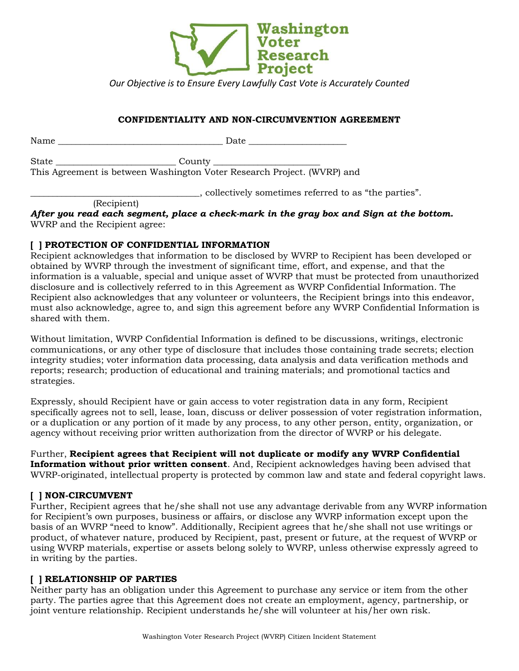

*Our Objective is to Ensure Every Lawfully Cast Vote is Accurately Counted*

## **CONFIDENTIALITY AND NON-CIRCUMVENTION AGREEMENT**

| Name                  | Date                                                                                        |
|-----------------------|---------------------------------------------------------------------------------------------|
| State                 | $\text{Country}$<br>This Agreement is between Washington Voter Research Project. (WVRP) and |
| $\sqrt{2}$ $\sqrt{2}$ | collectively sometimes referred to as "the parties".                                        |

(Recipient)

*After you read each segment, place a check-mark in the gray box and Sign at the bottom.*  WVRP and the Recipient agree:

#### **[ ] PROTECTION OF CONFIDENTIAL INFORMATION**

Recipient acknowledges that information to be disclosed by WVRP to Recipient has been developed or obtained by WVRP through the investment of significant time, effort, and expense, and that the information is a valuable, special and unique asset of WVRP that must be protected from unauthorized disclosure and is collectively referred to in this Agreement as WVRP Confidential Information. The Recipient also acknowledges that any volunteer or volunteers, the Recipient brings into this endeavor, must also acknowledge, agree to, and sign this agreement before any WVRP Confidential Information is shared with them.

Without limitation, WVRP Confidential Information is defined to be discussions, writings, electronic communications, or any other type of disclosure that includes those containing trade secrets; election integrity studies; voter information data processing, data analysis and data verification methods and reports; research; production of educational and training materials; and promotional tactics and strategies.

Expressly, should Recipient have or gain access to voter registration data in any form, Recipient specifically agrees not to sell, lease, loan, discuss or deliver possession of voter registration information, or a duplication or any portion of it made by any process, to any other person, entity, organization, or agency without receiving prior written authorization from the director of WVRP or his delegate.

Further, **Recipient agrees that Recipient will not duplicate or modify any WVRP Confidential Information without prior written consent**. And, Recipient acknowledges having been advised that WVRP-originated, intellectual property is protected by common law and state and federal copyright laws.

# **[ ] NON-CIRCUMVENT**

Further, Recipient agrees that he/she shall not use any advantage derivable from any WVRP information for Recipient's own purposes, business or affairs, or disclose any WVRP information except upon the basis of an WVRP "need to know". Additionally, Recipient agrees that he/she shall not use writings or product, of whatever nature, produced by Recipient, past, present or future, at the request of WVRP or using WVRP materials, expertise or assets belong solely to WVRP, unless otherwise expressly agreed to in writing by the parties.

#### **[ ] RELATIONSHIP OF PARTIES**

Neither party has an obligation under this Agreement to purchase any service or item from the other party. The parties agree that this Agreement does not create an employment, agency, partnership, or joint venture relationship. Recipient understands he/she will volunteer at his/her own risk.